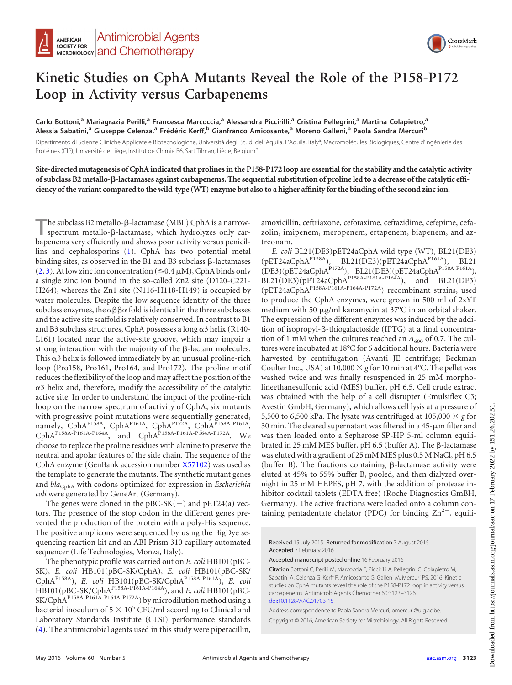

## **Kinetic Studies on CphA Mutants Reveal the Role of the P158-P172 Loop in Activity versus Carbapenems**

**Carlo Bottoni,<sup>a</sup> Mariagrazia Perilli,<sup>a</sup> Francesca Marcoccia,<sup>a</sup> Alessandra Piccirilli,<sup>a</sup> Cristina Pellegrini,<sup>a</sup> Martina Colapietro,<sup>a</sup> Alessia Sabatini,<sup>a</sup> Giuseppe Celenza,<sup>a</sup> Frédéric Kerff,<sup>b</sup> Gianfranco Amicosante,<sup>a</sup> Moreno Galleni,<sup>b</sup> Paola Sandra Mercuri<sup>b</sup>**

Dipartimento di Scienze Cliniche Applicate e Biotecnologiche, Università degli Studi dell'Aquila, L'Aquila, Italy<sup>a</sup>; Macromolécules Biologiques, Centre d'Ingénierie des Protéines (CIP), Université de Liège, Institut de Chimie B6, Sart Tilman, Liège, Belgium<sup>b</sup>

**Site-directed mutagenesis of CphA indicated that prolines in the P158-P172 loop are essential for the stability and the catalytic activity of subclass B2 metallo-**-**-lactamases against carbapenems. The sequential substitution of proline led to a decrease of the catalytic efficiency of the variant compared to the wild-type (WT) enzyme but also to a higher affinity for the binding of the second zinc ion.**

The subclass B2 metallo-β-lactamase (MBL) CphA is a narrow-<br>spectrum metallo-β-lactamase, which hydrolyzes only carspectrum metallo-ß-lactamase, which hydrolyzes only carbapenems very efficiently and shows poor activity versus penicillins and cephalosporins [\(1\)](#page-3-0). CphA has two potential metal binding sites, as observed in the B1 and B3 subclass  $\beta$ -lactamases  $(2, 3)$  $(2, 3)$  $(2, 3)$ . At low zinc ion concentration ( $\leq 0.4 \mu M$ ), CphA binds only a single zinc ion bound in the so-called Zn2 site (D120-C221- H264), whereas the Zn1 site (N116-H118-H149) is occupied by water molecules. Despite the low sequence identity of the three subclass enzymes, the  $\alpha\beta\beta\alpha$  fold is identical in the three subclasses and the active site scaffold is relatively conserved. In contrast to B1 and B3 subclass structures, CphA possesses a long  $\alpha$ 3 helix (R140-L161) located near the active-site groove, which may impair a strong interaction with the majority of the  $\beta$ -lactam molecules. This  $\alpha$ 3 helix is followed immediately by an unusual proline-rich loop (Pro158, Pro161, Pro164, and Pro172). The proline motif reduces the flexibility of the loop and may affect the position of the  $\alpha$ 3 helix and, therefore, modify the accessibility of the catalytic active site. In order to understand the impact of the proline-rich loop on the narrow spectrum of activity of CphA, six mutants with progressive point mutations were sequentially generated, namely, CphA<sup>P158A</sup>, CphA<sup>P161A</sup>, CphA<sup>P172A</sup>, CphA<sup>P158A-P161A</sup>, CphAP158A-P161A-P164A, and CphAP158A-P161A-P164A-P172A. We choose to replace the proline residues with alanine to preserve the neutral and apolar features of the side chain. The sequence of the CphA enzyme (GenBank accession number [X57102\)](http://www.ncbi.nlm.nih.gov/nuccore?term=X57102) was used as the template to generate the mutants. The synthetic mutant genes and *bla*<sub>CphA</sub> with codons optimized for expression in *Escherichia coli* were generated by GeneArt (Germany).

The genes were cloned in the  $pBC-SK(+)$  and  $pET24(a)$  vectors. The presence of the stop codon in the different genes prevented the production of the protein with a poly-His sequence. The positive amplicons were sequenced by using the BigDye sequencing reaction kit and an ABI Prism 310 capillary automated sequencer (Life Technologies, Monza, Italy).

The phenotypic profile was carried out on *E. coli* HB101(pBC-SK), *E. coli* HB101(pBC-SK/CphA), *E. coli* HB101(pBC-SK/ CphAP158A), *E. coli* HB101(pBC-SK/CphAP158A-P161A), *E. coli* HB101(pBC-SK/CphAP158A-P161A-P164A), and *E. coli* HB101(pBC-SK/CphAP158A-P161A-P164A-P172A) by microdilution method using a bacterial inoculum of  $5 \times 10^5$  CFU/ml according to Clinical and Laboratory Standards Institute (CLSI) performance standards [\(4\)](#page-3-3). The antimicrobial agents used in this study were piperacillin,

amoxicillin, ceftriaxone, cefotaxime, ceftazidime, cefepime, cefazolin, imipenem, meropenem, ertapenem, biapenem, and aztreonam.

*E. coli* BL21(DE3)pET24aCphA wild type (WT), BL21(DE3) (pET24aCphAP158A), BL21(DE3)(pET24aCphAP161A), BL21 (DE3)(pET24aCphAP172A), BL21(DE3)(pET24aCphAP158A-P161A),  $BL21(DE3)(pET24aCphA<sup>P158A-P161A-P164A),</sup>$  and BL21(DE3)  $(pET24aCphA<sup>P158A-P161A-P164A-P172A})</sup>$  recombinant strains, used to produce the CphA enzymes, were grown in 500 ml of 2xYT medium with 50  $\mu$ g/ml kanamycin at 37°C in an orbital shaker. The expression of the different enzymes was induced by the addition of isopropyl- $\beta$ -thiogalactoside (IPTG) at a final concentration of 1 mM when the cultures reached an  $A_{600}$  of 0.7. The cultures were incubated at 18°C for 6 additional hours. Bacteria were harvested by centrifugation (Avanti JE centrifuge; Beckman Coulter Inc., USA) at  $10,000 \times g$  for 10 min at 4°C. The pellet was washed twice and was finally resuspended in 25 mM morpholineethanesulfonic acid (MES) buffer, pH 6.5. Cell crude extract was obtained with the help of a cell disrupter (Emulsiflex C3; Avestin GmbH, Germany), which allows cell lysis at a pressure of 5,500 to 6,500 kPa. The lysate was centrifuged at  $105,000 \times g$  for 30 min. The cleared supernatant was filtered in a  $45$ - $\mu$ m filter and was then loaded onto a Sepharose SP-HP 5-ml column equilibrated in 25 mM MES buffer, pH 6.5 (buffer A). The  $\beta$ -lactamase was eluted with a gradient of 25 mM MES plus 0.5 M NaCl, pH 6.5 (buffer B). The fractions containing  $\beta$ -lactamase activity were eluted at 45% to 55% buffer B, pooled, and then dialyzed overnight in 25 mM HEPES, pH 7, with the addition of protease inhibitor cocktail tablets (EDTA free) (Roche Diagnostics GmBH, Germany). The active fractions were loaded onto a column containing pentadentate chelator (PDC) for binding  $\text{Zn}^{2+}$ , equili-

Received 15 July 2015 Returned for modification 7 August 2015 Accepted 7 February 2016

Accepted manuscript posted online 16 February 2016

Citation Bottoni C, Perilli M, Marcoccia F, Piccirilli A, Pellegrini C, Colapietro M, Sabatini A, Celenza G, Kerff F, Amicosante G, Galleni M, Mercuri PS. 2016. Kinetic studies on CphA mutants reveal the role of the P158-P172 loop in activity versus carbapenems. Antimicrob Agents Chemother 60:3123–3126. [doi:10.1128/AAC.01703-15.](http://dx.doi.org/10.1128/AAC.01703-15)

Address correspondence to Paola Sandra Mercuri, pmercuri@ulg.ac.be.

Copyright © 2016, American Society for Microbiology. All Rights Reserved.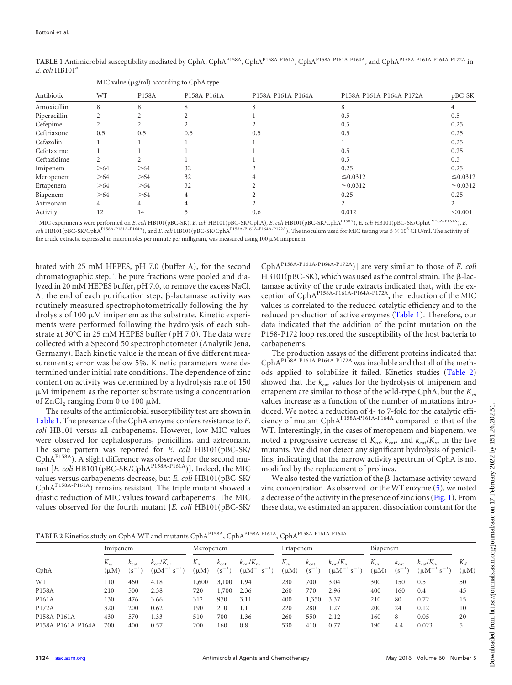| Antibiotic   | MIC value (µg/ml) according to CphA type |     |             |                   |                         |               |  |  |  |  |
|--------------|------------------------------------------|-----|-------------|-------------------|-------------------------|---------------|--|--|--|--|
|              | WT<br>P158A                              |     | P158A-P161A | P158A-P161A-P164A | P158A-P161A-P164A-P172A | $pBC-SK$      |  |  |  |  |
| Amoxicillin  | 8                                        | 8   | 8           |                   | 8                       |               |  |  |  |  |
| Piperacillin |                                          |     |             |                   | 0.5                     | 0.5           |  |  |  |  |
| Cefepime     |                                          |     |             |                   | 0.5                     | 0.25          |  |  |  |  |
| Ceftriaxone  | 0.5                                      | 0.5 | 0.5         | 0.5               | 0.5                     | 0.25          |  |  |  |  |
| Cefazolin    |                                          |     |             |                   |                         | 0.25          |  |  |  |  |
| Cefotaxime   |                                          |     |             |                   | 0.5                     | 0.25          |  |  |  |  |
| Ceftazidime  |                                          |     |             |                   | 0.5                     | 0.5           |  |  |  |  |
| Imipenem     | >64                                      | >64 | 32          |                   | 0.25                    | 0.25          |  |  |  |  |
| Meropenem    | >64                                      | >64 | 32          |                   | $\leq 0.0312$           | $\leq 0.0312$ |  |  |  |  |
| Ertapenem    | >64                                      | >64 | 32          |                   | $\leq 0.0312$           | $\leq 0.0312$ |  |  |  |  |
| Biapenem     | >64                                      | >64 | 4           |                   | 0.25                    | 0.25          |  |  |  |  |
| Aztreonam    | 4                                        | 4   |             |                   |                         |               |  |  |  |  |
| Activity     | 12                                       | 14  |             | 0.6               | 0.012                   | < 0.001       |  |  |  |  |

<span id="page-1-0"></span>**TABLE 1** Antimicrobial susceptibility mediated by CphA, CphAP158A, CphAP158A-P161A, CphAP158A-P161A-P164A, and CphAP158A-P161A-P164A-P172A in *E. coli* HB101*<sup>a</sup>*

*<sup>a</sup>* MIC experiments were performed on *E. coli* HB101(pBC-SK), *E. coli* HB101(pBC-SK/CphA), *E. coli* HB101(pBC-SK/CphAP158A), *E. coli* HB101(pBC-SK/CphAP158A-P161A), *E. coli* HB101(pBC-SK/CphAP158A-P161A-P164A), and *E. coli* HB101(pBC-SK/CphAP158A-P161A-P164A-P172A). The inoculum used for MIC testing was 5 10<sup>5</sup> CFU/ml. The activity of the crude extracts, expressed in micromoles per minute per milligram, was measured using 100  $\mu\mathrm{M}$  imipenem.

brated with 25 mM HEPES, pH 7.0 (buffer A), for the second chromatographic step. The pure fractions were pooled and dialyzed in 20 mM HEPES buffer, pH 7.0, to remove the excess NaCl. At the end of each purification step,  $\beta$ -lactamase activity was routinely measured spectrophotometrically following the hydrolysis of 100  $\mu$ M imipenem as the substrate. Kinetic experiments were performed following the hydrolysis of each substrate at 30°C in 25 mM HEPES buffer (pH 7.0). The data were collected with a Specord 50 spectrophotometer (Analytik Jena, Germany). Each kinetic value is the mean of five different measurements; error was below 5%. Kinetic parameters were determined under initial rate conditions. The dependence of zinc content on activity was determined by a hydrolysis rate of 150 M imipenem as the reporter substrate using a concentration of  $ZnCl<sub>2</sub>$  ranging from 0 to 100  $\mu$ M.

The results of the antimicrobial susceptibility test are shown in [Table 1.](#page-1-0) The presence of the CphA enzyme confers resistance to *E. coli* HB101 versus all carbapenems. However, low MIC values were observed for cephalosporins, penicillins, and aztreonam. The same pattern was reported for *E. coli* HB101(pBC-SK/ CphA<sup>P158A</sup>). A slight difference was observed for the second mutant [*E. coli* HB101(pBC-SK/CphAP158A-P161A)]. Indeed, the MIC values versus carbapenems decrease, but *E. coli* HB101(pBC-SK/ CphAP158A-P161A) remains resistant. The triple mutant showed a drastic reduction of MIC values toward carbapenems. The MIC values observed for the fourth mutant [*E. coli* HB101(pBC-SK/

CphAP158A-P161A-P164A-P172A)] are very similar to those of *E. coli*  $HB101(pBC-SK)$ , which was used as the control strain. The  $\beta$ -lactamase activity of the crude extracts indicated that, with the exception of CphAP158A-P161A-P164A-P172A, the reduction of the MIC values is correlated to the reduced catalytic efficiency and to the reduced production of active enzymes [\(Table 1\)](#page-1-0). Therefore, our data indicated that the addition of the point mutation on the P158-P172 loop restored the susceptibility of the host bacteria to carbapenems.

The production assays of the different proteins indicated that CphA<sup>P158A-P161A-P164A-P172A</sup> was insoluble and that all of the methods applied to solubilize it failed. Kinetics studies [\(Table 2\)](#page-1-1) showed that the  $k_{\text{cat}}$  values for the hydrolysis of imipenem and ertapenem are similar to those of the wild-type CphA, but the *Km* values increase as a function of the number of mutations introduced. We noted a reduction of 4- to 7-fold for the catalytic efficiency of mutant CphAP158A-P161A-P164A compared to that of the WT. Interestingly, in the cases of meropenem and biapenem, we noted a progressive decrease of  $K_m$ ,  $k_{\text{cat}}$  and  $k_{\text{cat}}/K_m$  in the five mutants. We did not detect any significant hydrolysis of penicillins, indicating that the narrow activity spectrum of CphA is not modified by the replacement of prolines.

We also tested the variation of the  $\beta$ -lactamase activity toward zinc concentration. As observed for the WT enzyme [\(5\)](#page-3-4), we noted a decrease of the activity in the presence of zinc ions [\(Fig. 1\)](#page-2-0). From these data, we estimated an apparent dissociation constant for the

<span id="page-1-1"></span>**TABLE 2** Kinetics study on CphA WT and mutants CphAP158A, CphAP158A-P161A, CphAP158A-P161A-P164A

|                    | Imipenem           |                                |                                               | Meropenem          |                                | Ertapenem                                              |                    | Biapenem                       |                                               |                    |                                |                                                 |                    |
|--------------------|--------------------|--------------------------------|-----------------------------------------------|--------------------|--------------------------------|--------------------------------------------------------|--------------------|--------------------------------|-----------------------------------------------|--------------------|--------------------------------|-------------------------------------------------|--------------------|
| CphA               | $K_m$<br>$(\mu M)$ | $k_{\text{cat}}$<br>$(s^{-1})$ | $k_{\text{cat}}/K_m$<br>$(\mu M^{-1} s^{-1})$ | $K_m$<br>$(\mu M)$ | $k_{\text{cat}}$<br>$(s^{-1})$ | $k_{\text{cat}}/K_{\text{m}}$<br>$(\mu M^{-1} s^{-1})$ | $K_m$<br>$(\mu M)$ | $k_{\text{cat}}$<br>$(s^{-1})$ | $k_{\text{cat}}/K_m$<br>$(\mu M^{-1} s^{-1})$ | $K_m$<br>$(\mu M)$ | $k_{\text{cat}}$<br>$(s^{-1})$ | $k_{\text{cat}}/K_m$<br>$\mu$ M<br><sub>S</sub> | $K_d$<br>$(\mu M)$ |
| <b>WT</b>          | 110                | 460                            | 4.18                                          | 1,600              | 3,100                          | 1.94                                                   | 230                | 700                            | 3.04                                          | 300                | 150                            | 0.5                                             | 50                 |
| P158A              | 210                | 500                            | 2.38                                          | 720                | 1,700                          | 2.36                                                   | 260                | 770                            | 2.96                                          | 400                | 160                            | 0.4                                             | 45                 |
| P <sub>161</sub> A | 130                | 476                            | 3.66                                          | 312                | 970                            | 3.11                                                   | 400                | 1,350                          | 3.37                                          | 210                | 80                             | 0.72                                            | 15                 |
| P172A              | 320                | 200                            | 0.62                                          | 190                | 210                            | 1.1                                                    | 220                | 280                            | 1.27                                          | 200                | 24                             | 0.12                                            | 10                 |
| P158A-P161A        | 430                | 570                            | 1.33                                          | 510                | 700                            | 1.36                                                   | 260                | 550                            | 2.12                                          | 160                | 8                              | 0.05                                            | 20                 |
| P158A-P161A-P164A  | 700                | 400                            | 0.57                                          | 200                | 160                            | 0.8                                                    | 530                | 410                            | 0.77                                          | 190                | 4.4                            | 0.023                                           |                    |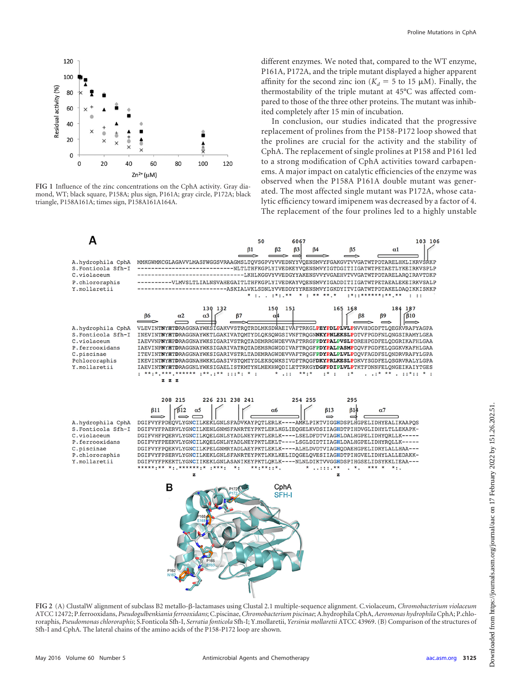

<span id="page-2-0"></span>**FIG 1** Influence of the zinc concentrations on the CphA activity. Gray diamond, WT; black square, P158A; plus sign, P161A; gray circle, P172A; black triangle, P158A161A; times sign, P158A161A164A.

different enzymes. We noted that, compared to the WT enzyme, P161A, P172A, and the triple mutant displayed a higher apparent affinity for the second zinc ion ( $K_d = 5$  to 15  $\mu$ M). Finally, the thermostability of the triple mutant at 45°C was affected compared to those of the three other proteins. The mutant was inhibited completely after 15 min of incubation.

In conclusion, our studies indicated that the progressive replacement of prolines from the P158-P172 loop showed that the prolines are crucial for the activity and the stability of CphA. The replacement of single prolines at P158 and P161 led to a strong modification of CphA activities toward carbapenems. A major impact on catalytic efficiencies of the enzyme was observed when the P158A P161A double mutant was generated. The most affected single mutant was P172A, whose catalytic efficiency toward imipenem was decreased by a factor of 4. The replacement of the four prolines led to a highly unstable



<span id="page-2-1"></span>FIG 2 (A) ClustalW alignment of subclass B2 metallo-ß-lactamases using Clustal 2.1 multiple-sequence alignment. C.violaceum, *Chromobacterium violaceum* ATCC 12472; P.ferrooxidans, *Pseudogulbenkiania ferrooxidans*; C.piscinae, *Chromobacterium piscinae*; A.hydrophila CphA, *Aeromonas hydrophila*CphA; P.chlororaphis, *Pseudomonas chlororaphis*; S.Fonticola Sfh-I, *Serratia fonticola* Sfh-I; Y.mollaretii, *Yersinia mollaretii* ATCC 43969. (B) Comparison of the structures of Sfh-I and CphA. The lateral chains of the amino acids of the P158-P172 loop are shown.